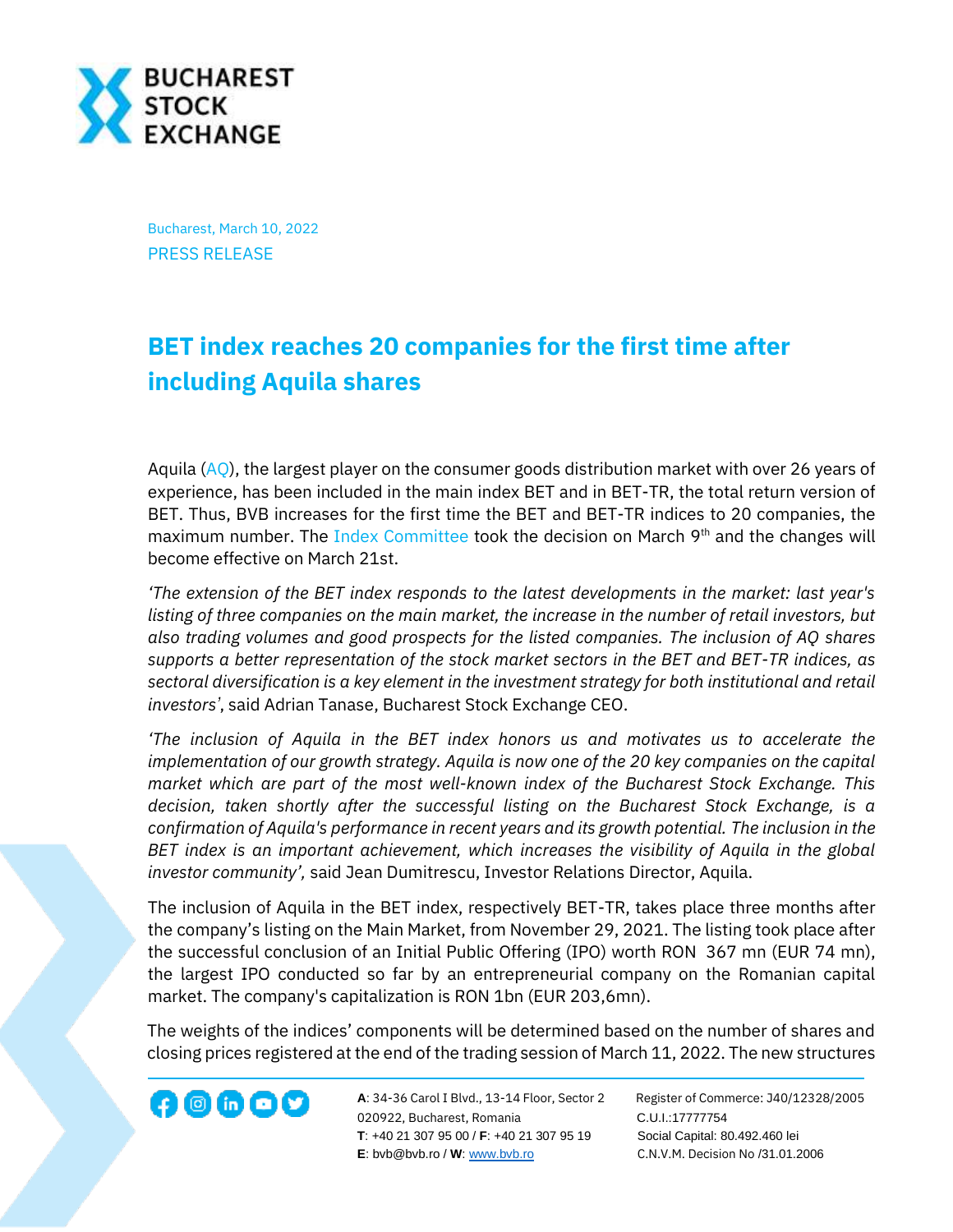

Bucharest, March 10, 2022 PRESS RELEASE

## **BET index reaches 20 companies for the first time after including Aquila shares**

Aquila  $(AQ)$ , the largest player on the consumer goods distribution market with over 26 years of experience, has been included in the main index BET and in BET-TR, the total return version of BET. Thus, BVB increases for the first time the BET and BET-TR indices to 20 companies, the maximum number. The [Index Committee](https://bvb.ro/AboutUs/MediaCenter/PressItem/Hotarari-ale-Comisiei-Indicilor-in-sedinta-din-9-martie-2022/5599) took the decision on March 9<sup>th</sup> and the changes will become effective on March 21st.

*'The extension of the BET index responds to the latest developments in the market: last year's listing of three companies on the main market, the increase in the number of retail investors, but also trading volumes and good prospects for the listed companies. The inclusion of AQ shares supports a better representation of the stock market sectors in the BET and BET-TR indices, as sectoral diversification is a key element in the investment strategy for both institutional and retail investors'*, said Adrian Tanase, Bucharest Stock Exchange CEO.

*'The inclusion of Aquila in the BET index honors us and motivates us to accelerate the implementation of our growth strategy. Aquila is now one of the 20 key companies on the capital market which are part of the most well-known index of the Bucharest Stock Exchange. This decision, taken shortly after the successful listing on the Bucharest Stock Exchange, is a confirmation of Aquila's performance in recent years and its growth potential. The inclusion in the BET index is an important achievement, which increases the visibility of Aquila in the global investor community',* said Jean Dumitrescu, Investor Relations Director, Aquila.

The inclusion of Aquila in the BET index, respectively BET-TR, takes place three months after the company's listing on the Main Market, from November 29, 2021. The listing took place after the successful conclusion of an Initial Public Offering (IPO) worth RON 367 mn (EUR 74 mn), the largest IPO conducted so far by an entrepreneurial company on the Romanian capital market. The company's capitalization is RON 1bn (EUR 203,6mn).

The weights of the indices' components will be determined based on the number of shares and closing prices registered at the end of the trading session of March 11, 2022. The new structures

**A**: 34-36 Carol I Blvd., 13-14 Floor, Sector 2 Register of Commerce: J40/12328/2005 **1200 CD CD CONF A:** 34-36 Carol I Blvd., 13-14 Floor, Sector 2 Register of Comm<br>020922, Bucharest, Romania C.U.I.:17777754  **T**: +40 21 307 95 00 / **F**: +40 21 307 95 19 Social Capital: 80.492.460 lei **E**: bvb@bvb.ro / **W**[: www.bvb.ro](http://www.bvb.ro/) C.N.V.M. Decision No /31.01.2006